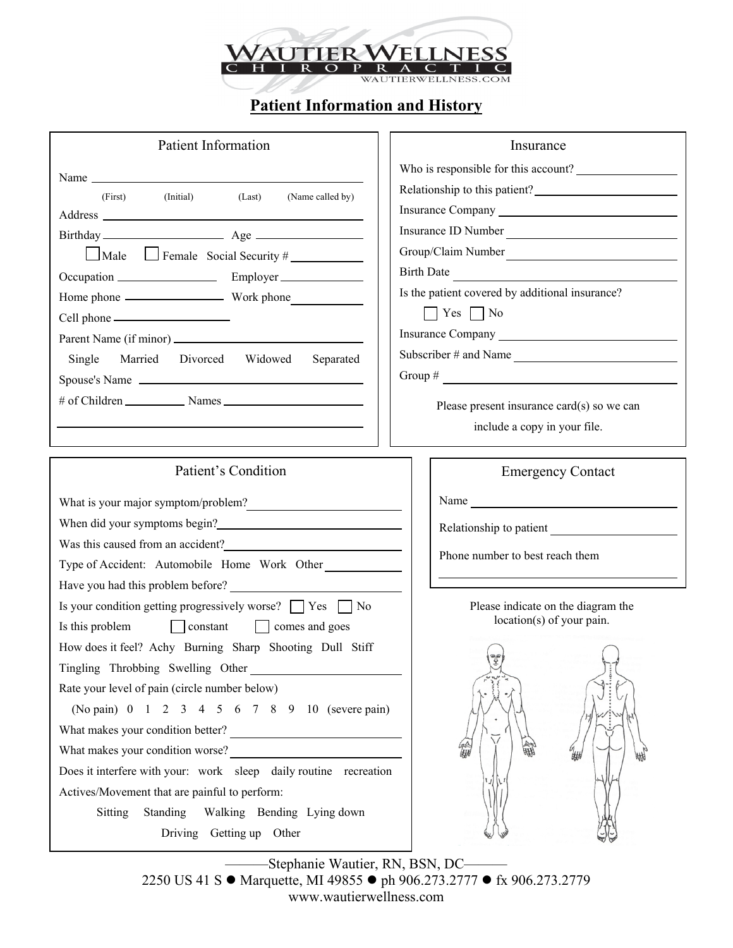

## **Patient Information and History**

| <b>Patient Information</b>                                                                    | Insurance                                                                                                                                                                                                                      |  |  |
|-----------------------------------------------------------------------------------------------|--------------------------------------------------------------------------------------------------------------------------------------------------------------------------------------------------------------------------------|--|--|
|                                                                                               | Who is responsible for this account?                                                                                                                                                                                           |  |  |
| Name<br>(Last)<br>(Initial)                                                                   | Relationship to this patient?                                                                                                                                                                                                  |  |  |
| (Name called by)<br>(First)                                                                   |                                                                                                                                                                                                                                |  |  |
|                                                                                               | Insurance ID Number                                                                                                                                                                                                            |  |  |
| $\Box$ Male $\Box$ Female Social Security #                                                   | Group/Claim Number                                                                                                                                                                                                             |  |  |
|                                                                                               | <b>Birth Date</b>                                                                                                                                                                                                              |  |  |
|                                                                                               | Is the patient covered by additional insurance?                                                                                                                                                                                |  |  |
|                                                                                               | $\Box$ Yes $\Box$ No                                                                                                                                                                                                           |  |  |
|                                                                                               |                                                                                                                                                                                                                                |  |  |
| Single Married Divorced Widowed Separated                                                     | Subscriber # and Name                                                                                                                                                                                                          |  |  |
| Spouse's Name                                                                                 | Group $\#$                                                                                                                                                                                                                     |  |  |
|                                                                                               |                                                                                                                                                                                                                                |  |  |
|                                                                                               | Please present insurance card(s) so we can                                                                                                                                                                                     |  |  |
|                                                                                               | include a copy in your file.                                                                                                                                                                                                   |  |  |
|                                                                                               |                                                                                                                                                                                                                                |  |  |
| Patient's Condition                                                                           | <b>Emergency Contact</b>                                                                                                                                                                                                       |  |  |
|                                                                                               | Name Name and the second state of the second state of the second state of the second state of the second state of the second state of the second state of the second state of the second state of the second state of the seco |  |  |
|                                                                                               |                                                                                                                                                                                                                                |  |  |
|                                                                                               |                                                                                                                                                                                                                                |  |  |
| Type of Accident: Automobile Home Work Other                                                  | Phone number to best reach them                                                                                                                                                                                                |  |  |
| Have you had this problem before?                                                             |                                                                                                                                                                                                                                |  |  |
|                                                                                               |                                                                                                                                                                                                                                |  |  |
| Is your condition getting progressively worse? $\Box$ Yes $\Box$ No                           | Please indicate on the diagram the                                                                                                                                                                                             |  |  |
| Is this problem<br>constant comes and goes                                                    | location(s) of your pain.                                                                                                                                                                                                      |  |  |
| How does it feel? Achy Burning Sharp Shooting Dull Stiff                                      |                                                                                                                                                                                                                                |  |  |
| Tingling Throbbing Swelling Other                                                             | $\left\{ \right.$                                                                                                                                                                                                              |  |  |
| Rate your level of pain (circle number below)                                                 |                                                                                                                                                                                                                                |  |  |
| (No pain) 0 1 2 3 4 5 6 7 8 9 10 (severe pain)                                                |                                                                                                                                                                                                                                |  |  |
|                                                                                               |                                                                                                                                                                                                                                |  |  |
| What makes your condition better?<br><u> </u><br>What makes your condition worse?<br><u> </u> |                                                                                                                                                                                                                                |  |  |
| Does it interfere with your: work sleep daily routine recreation                              |                                                                                                                                                                                                                                |  |  |
| Actives/Movement that are painful to perform:                                                 |                                                                                                                                                                                                                                |  |  |
| Sitting<br>Standing Walking Bending Lying down                                                |                                                                                                                                                                                                                                |  |  |
| Driving Getting up Other                                                                      |                                                                                                                                                                                                                                |  |  |

———Stephanie Wautier, RN, BSN, DC——— 2250 US 41 S ● Marquette, MI 49855 ● ph 906.273.2777 ● fx 906.273.2779 www.wautierwellness.com